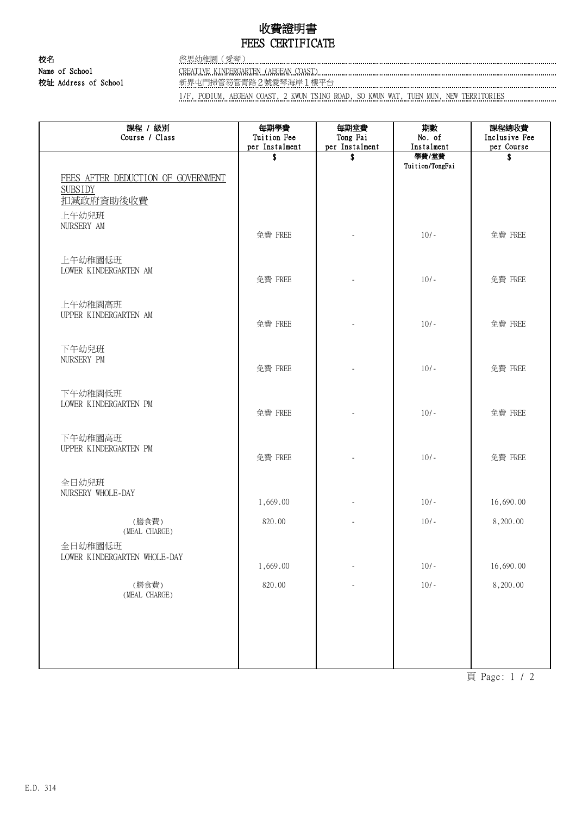## 收費證明書 FEES CERTIFICATE

校名 啓思幼稚園(愛琴) Name of School CREATIVE KINDERGARTEN (AEGEAN COAST) [[201] CREATIVE KINDERGARTEN (AEGEAN COAST) [[201] COAST]

校址 Address of School 新界屯門掃管笏管青路2號愛琴海岸1樓平台

1/F, PODIUM, AEGEAN COAST, 2 KWUN TSING ROAD, SO KWUN WAT, TUEN MUN, NEW TERRITORIES

| 課程 / 級別<br>Course / Class                                | 每期學費<br>Tuition Fee<br>per Instalment | 每期堂費<br>Tong Fai<br>per Instalment | 期數<br>No. of<br>Instalment | 課程總收費<br>Inclusive Fee<br>per Course |
|----------------------------------------------------------|---------------------------------------|------------------------------------|----------------------------|--------------------------------------|
| FEES AFTER DEDUCTION OF GOVERNMENT<br><b>SUBSIDY</b>     | \$                                    | \$                                 | 學費/堂費<br>Tuition/TongFai   | \$                                   |
| 扣减政府資助後收費<br>上午幼兒班<br>NURSERY AM                         | 免費 FREE                               |                                    | $10/-$                     | 免費 FREE                              |
| 上午幼稚園低班<br>LOWER KINDERGARTEN AM                         | 免費 FREE                               |                                    | $10/-$                     | 免費 FREE                              |
| 上午幼稚園高班<br>UPPER KINDERGARTEN AM                         | 免費 FREE                               |                                    | $10/-$                     | 免費 FREE                              |
| 下午幼兒班<br>NURSERY PM                                      | 免費 FREE                               |                                    | $10/-$                     | 免費 FREE                              |
| 下午幼稚園低班<br>LOWER KINDERGARTEN PM                         | 免費 FREE                               |                                    | $10/-$                     | 免費 FREE                              |
| 下午幼稚園高班<br>UPPER KINDERGARTEN PM                         | 免費 FREE                               |                                    | $10/-$                     | 免費 FREE                              |
| 全日幼兒班<br>NURSERY WHOLE-DAY                               | 1,669.00                              |                                    | $10/-$                     | 16,690.00                            |
| (膳食費)<br>(MEAL CHARGE)                                   | 820.00                                |                                    | $10/-$                     | 8,200.00                             |
| 全日幼稚園低班<br>LOWER KINDERGARTEN WHOLE-DAY                  | 1,669.00                              |                                    | $10/-$                     | 16,690.00                            |
| (膳食費)<br>$(\operatorname{MEAL} \ \operatorname{CHARGE})$ | 820.00                                |                                    | $10/-$                     | 8,200.00                             |
|                                                          |                                       |                                    |                            |                                      |
|                                                          |                                       |                                    |                            |                                      |

頁 Page: 1 / 2